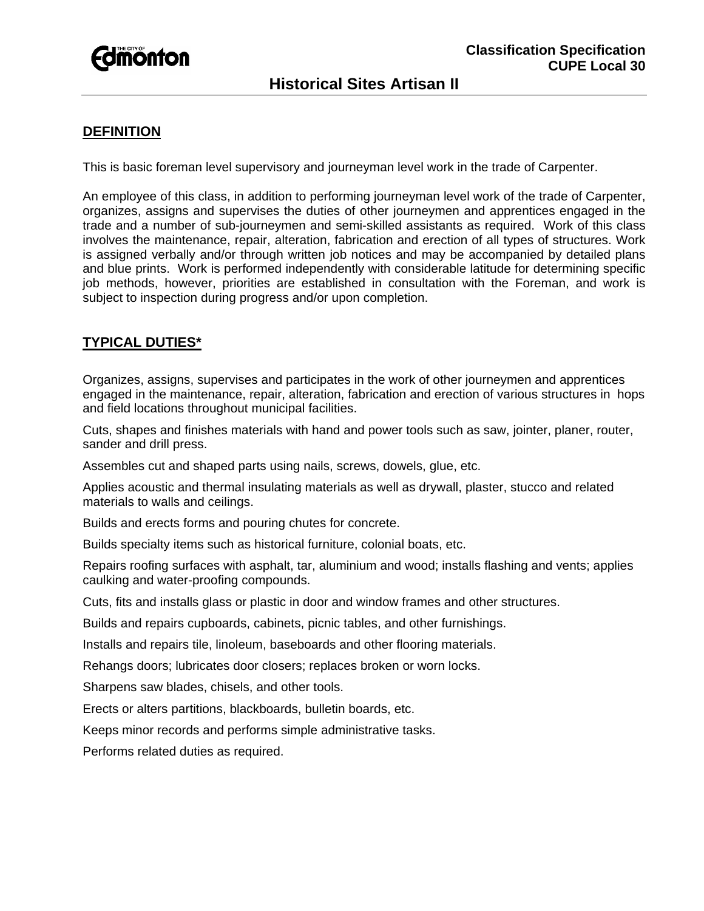

## **DEFINITION**

This is basic foreman level supervisory and journeyman level work in the trade of Carpenter.

An employee of this class, in addition to performing journeyman level work of the trade of Carpenter, organizes, assigns and supervises the duties of other journeymen and apprentices engaged in the trade and a number of sub-journeymen and semi-skilled assistants as required. Work of this class involves the maintenance, repair, alteration, fabrication and erection of all types of structures. Work is assigned verbally and/or through written job notices and may be accompanied by detailed plans and blue prints. Work is performed independently with considerable latitude for determining specific job methods, however, priorities are established in consultation with the Foreman, and work is subject to inspection during progress and/or upon completion.

# **TYPICAL DUTIES\***

Organizes, assigns, supervises and participates in the work of other journeymen and apprentices engaged in the maintenance, repair, alteration, fabrication and erection of various structures in hops and field locations throughout municipal facilities.

Cuts, shapes and finishes materials with hand and power tools such as saw, jointer, planer, router, sander and drill press.

Assembles cut and shaped parts using nails, screws, dowels, glue, etc.

Applies acoustic and thermal insulating materials as well as drywall, plaster, stucco and related materials to walls and ceilings.

Builds and erects forms and pouring chutes for concrete.

Builds specialty items such as historical furniture, colonial boats, etc.

Repairs roofing surfaces with asphalt, tar, aluminium and wood; installs flashing and vents; applies caulking and water-proofing compounds.

Cuts, fits and installs glass or plastic in door and window frames and other structures.

Builds and repairs cupboards, cabinets, picnic tables, and other furnishings.

Installs and repairs tile, linoleum, baseboards and other flooring materials.

Rehangs doors; lubricates door closers; replaces broken or worn locks.

Sharpens saw blades, chisels, and other tools.

Erects or alters partitions, blackboards, bulletin boards, etc.

Keeps minor records and performs simple administrative tasks.

Performs related duties as required.